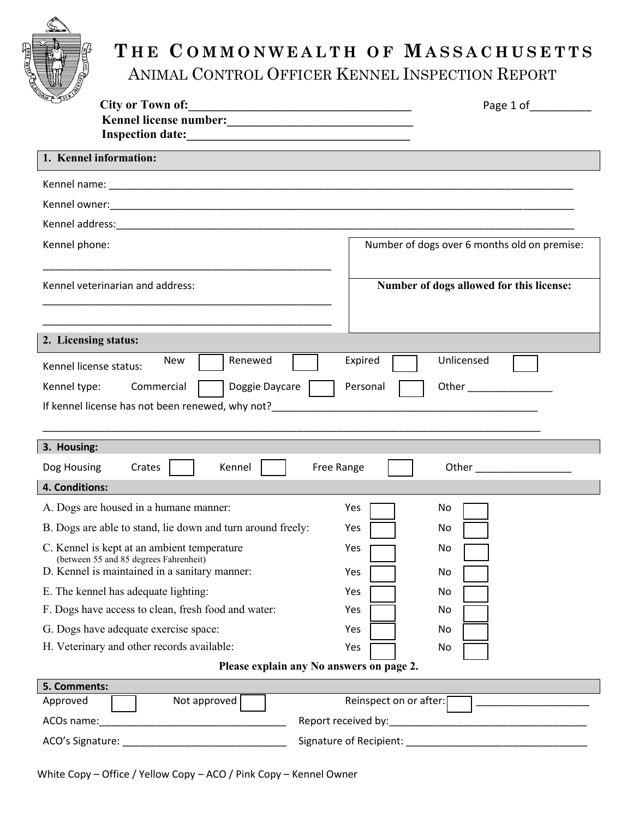

## **T H E C O M M O N W E A L T H O F M A S S A C H U S E T T S** ANIMAL CONTROL OFFICER KENNEL INSPECTION REPORT

| <b>City or Town of:</b><br><u> 1989 - Johann Harry Harry Harry Harry Harry Harry Harry Harry Harry Harry Harry Harry Harry Harry Harry Harry</u>                  | Page 1 of                                                                                                                                                                                                                                        |
|-------------------------------------------------------------------------------------------------------------------------------------------------------------------|--------------------------------------------------------------------------------------------------------------------------------------------------------------------------------------------------------------------------------------------------|
| Kennel license number:<br><u> </u>                                                                                                                                |                                                                                                                                                                                                                                                  |
| 1. Kennel information:                                                                                                                                            |                                                                                                                                                                                                                                                  |
|                                                                                                                                                                   |                                                                                                                                                                                                                                                  |
|                                                                                                                                                                   |                                                                                                                                                                                                                                                  |
|                                                                                                                                                                   |                                                                                                                                                                                                                                                  |
| Kennel phone:                                                                                                                                                     | Number of dogs over 6 months old on premise:                                                                                                                                                                                                     |
|                                                                                                                                                                   |                                                                                                                                                                                                                                                  |
| Kennel veterinarian and address:                                                                                                                                  | Number of dogs allowed for this license:                                                                                                                                                                                                         |
|                                                                                                                                                                   |                                                                                                                                                                                                                                                  |
|                                                                                                                                                                   |                                                                                                                                                                                                                                                  |
| 2. Licensing status:                                                                                                                                              |                                                                                                                                                                                                                                                  |
| Renewed<br>New<br>Kennel license status:                                                                                                                          | Unlicensed<br>Expired                                                                                                                                                                                                                            |
| Kennel type:<br>Commercial<br>Doggie Daycare                                                                                                                      | Personal<br>Other <u>with the set of the set of the set of the set of the set of the set of the set of the set of the set of the set of the set of the set of the set of the set of the set of the set of the set of the set of the set of t</u> |
| If kennel license has not been renewed, why not?<br>The manufacture of the manufacture of the manufacture of the manufacture of the manufacture of the manufactur |                                                                                                                                                                                                                                                  |
|                                                                                                                                                                   |                                                                                                                                                                                                                                                  |
|                                                                                                                                                                   |                                                                                                                                                                                                                                                  |
| 3. Housing:                                                                                                                                                       |                                                                                                                                                                                                                                                  |
| Crates<br>Dog Housing<br>Kennel<br>Free Range                                                                                                                     |                                                                                                                                                                                                                                                  |
| 4. Conditions:                                                                                                                                                    |                                                                                                                                                                                                                                                  |
| A. Dogs are housed in a humane manner:                                                                                                                            | Yes<br>No                                                                                                                                                                                                                                        |
| B. Dogs are able to stand, lie down and turn around freely:                                                                                                       | Yes<br>No.                                                                                                                                                                                                                                       |
| C. Kennel is kept at an ambient temperature                                                                                                                       | Yes<br>No                                                                                                                                                                                                                                        |
| (between 55 and 85 degrees Fahrenheit)<br>D. Kennel is maintained in a sanitary manner:                                                                           | Yes<br>No                                                                                                                                                                                                                                        |
| E. The kennel has adequate lighting:                                                                                                                              | Yes<br>No                                                                                                                                                                                                                                        |
| F. Dogs have access to clean, fresh food and water:                                                                                                               | Yes<br>No                                                                                                                                                                                                                                        |
| G. Dogs have adequate exercise space:                                                                                                                             | Yes<br>No                                                                                                                                                                                                                                        |
| H. Veterinary and other records available:                                                                                                                        | Yes<br>No                                                                                                                                                                                                                                        |
| Please explain any No answers on page 2.                                                                                                                          |                                                                                                                                                                                                                                                  |
| 5. Comments:                                                                                                                                                      |                                                                                                                                                                                                                                                  |
| Not approved<br>Approved                                                                                                                                          | Reinspect on or after:                                                                                                                                                                                                                           |
| ACOs name:<br><u> 1989 - Johann John Harry Hermann (d. 1989)</u>                                                                                                  |                                                                                                                                                                                                                                                  |